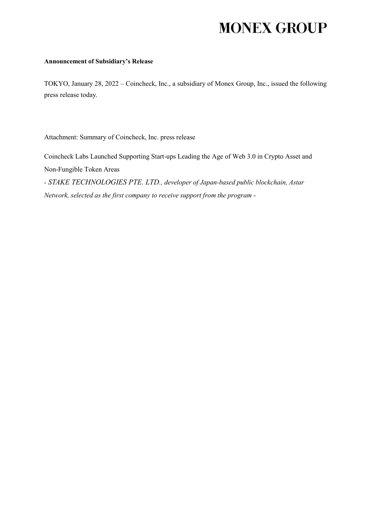# **MONEX GROUP**

#### **Announcement of Subsidiary's Release**

TOKYO, January 28, 2022 – Coincheck, Inc., a subsidiary of Monex Group, Inc., issued the following press release today.

Attachment: Summary of Coincheck, Inc. press release

Coincheck Labs Launched Supporting Start-ups Leading the Age of Web 3.0 in Crypto Asset and Non-Fungible Token Areas *- STAKE TECHNOLOGIES PTE. LTD., developer of Japan-based public blockchain, Astar* 

*Network, selected as the first company to receive support from the program -*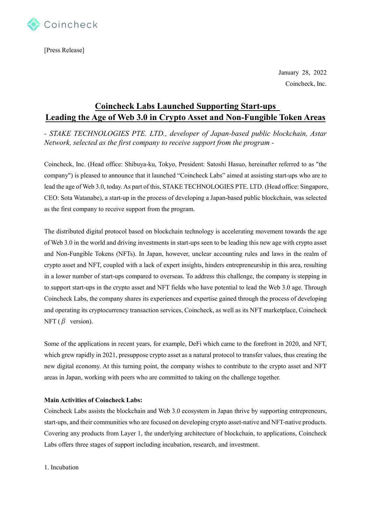

[Press Release]

January 28, 2022 Coincheck, Inc.

# **Coincheck Labs Launched Supporting Start-ups Leading the Age of Web 3.0 in Crypto Asset and Non-Fungible Token Areas**

*- STAKE TECHNOLOGIES PTE. LTD., developer of Japan-based public blockchain, Astar Network, selected as the first company to receive support from the program -*

Coincheck, Inc. (Head office: Shibuya-ku, Tokyo, President: Satoshi Hasuo, hereinafter referred to as "the company") is pleased to announce that it launched "Coincheck Labs" aimed at assisting start-ups who are to lead the age of Web 3.0, today. As part of this, STAKE TECHNOLOGIES PTE. LTD. (Head office: Singapore, CEO: Sota Watanabe), a start-up in the process of developing a Japan-based public blockchain, was selected as the first company to receive support from the program.

The distributed digital protocol based on blockchain technology is accelerating movement towards the age of Web 3.0 in the world and driving investments in start-ups seen to be leading this new age with crypto asset and Non-Fungible Tokens (NFTs). In Japan, however, unclear accounting rules and laws in the realm of crypto asset and NFT, coupled with a lack of expert insights, hinders entrepreneurship in this area, resulting in a lower number of start-ups compared to overseas. To address this challenge, the company is stepping in to support start-ups in the crypto asset and NFT fields who have potential to lead the Web 3.0 age. Through Coincheck Labs, the company shares its experiences and expertise gained through the process of developing and operating its cryptocurrency transaction services, Coincheck, as well as its NFT marketplace, Coincheck NFT ( $\beta$  version).

Some of the applications in recent years, for example, DeFi which came to the forefront in 2020, and NFT, which grew rapidly in 2021, presuppose crypto asset as a natural protocol to transfer values, thus creating the new digital economy. At this turning point, the company wishes to contribute to the crypto asset and NFT areas in Japan, working with peers who are committed to taking on the challenge together.

## **Main Activities of Coincheck Labs:**

Coincheck Labs assists the blockchain and Web 3.0 ecosystem in Japan thrive by supporting entrepreneurs, start-ups, and their communities who are focused on developing crypto asset-native and NFT-native products. Covering any products from Layer 1, the underlying architecture of blockchain, to applications, Coincheck Labs offers three stages of support including incubation, research, and investment.

1. Incubation